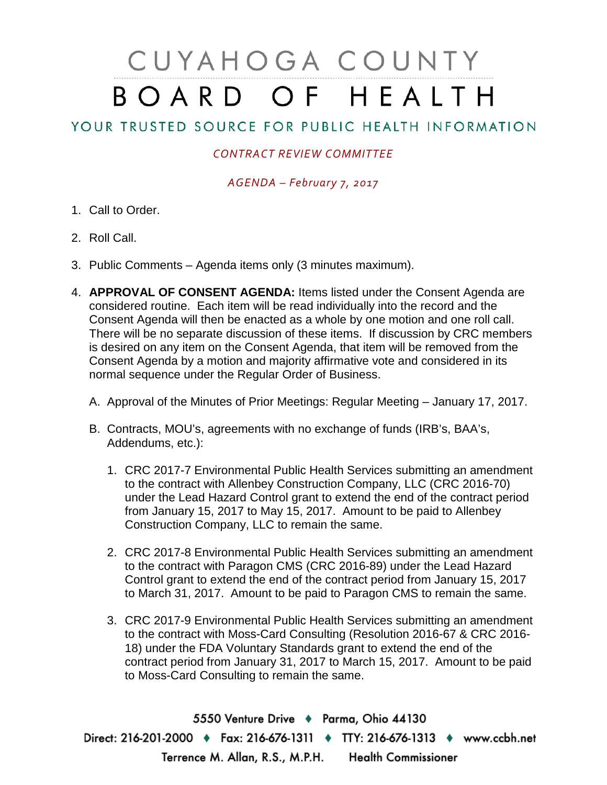## CUYAHOGA COUNTY BOARD OF HEALTH

## YOUR TRUSTED SOURCE FOR PUBLIC HEALTH INFORMATION

## *CONTRACT REVIEW COMMITTEE*

*AGENDA – February 7, 2017*

- 1. Call to Order.
- 2. Roll Call.
- 3. Public Comments Agenda items only (3 minutes maximum).
- 4. **APPROVAL OF CONSENT AGENDA:** Items listed under the Consent Agenda are considered routine. Each item will be read individually into the record and the Consent Agenda will then be enacted as a whole by one motion and one roll call. There will be no separate discussion of these items. If discussion by CRC members is desired on any item on the Consent Agenda, that item will be removed from the Consent Agenda by a motion and majority affirmative vote and considered in its normal sequence under the Regular Order of Business.
	- A. Approval of the Minutes of Prior Meetings: Regular Meeting January 17, 2017.
	- B. Contracts, MOU's, agreements with no exchange of funds (IRB's, BAA's, Addendums, etc.):
		- 1. CRC 2017-7 Environmental Public Health Services submitting an amendment to the contract with Allenbey Construction Company, LLC (CRC 2016-70) under the Lead Hazard Control grant to extend the end of the contract period from January 15, 2017 to May 15, 2017. Amount to be paid to Allenbey Construction Company, LLC to remain the same.
		- 2. CRC 2017-8 Environmental Public Health Services submitting an amendment to the contract with Paragon CMS (CRC 2016-89) under the Lead Hazard Control grant to extend the end of the contract period from January 15, 2017 to March 31, 2017. Amount to be paid to Paragon CMS to remain the same.
		- 3. CRC 2017-9 Environmental Public Health Services submitting an amendment to the contract with Moss-Card Consulting (Resolution 2016-67 & CRC 2016- 18) under the FDA Voluntary Standards grant to extend the end of the contract period from January 31, 2017 to March 15, 2017. Amount to be paid to Moss-Card Consulting to remain the same.

5550 Venture Drive + Parma, Ohio 44130 Direct: 216-201-2000 • Fax: 216-676-1311 • TTY: 216-676-1313 • www.ccbh.net Terrence M. Allan, R.S., M.P.H. Health Commissioner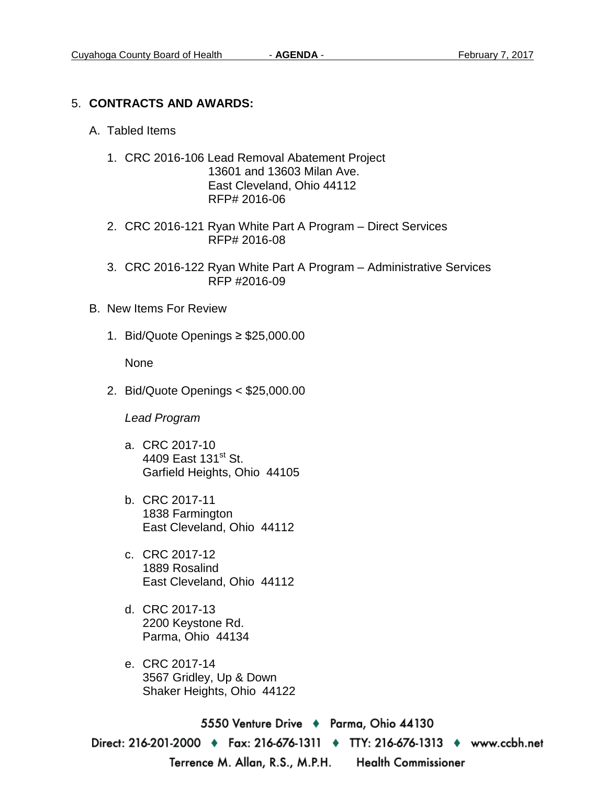## 5. **CONTRACTS AND AWARDS:**

- A. Tabled Items
	- 1. CRC 2016-106 Lead Removal Abatement Project 13601 and 13603 Milan Ave. East Cleveland, Ohio 44112 RFP# 2016-06
	- 2. CRC 2016-121 Ryan White Part A Program Direct Services RFP# 2016-08
	- 3. CRC 2016-122 Ryan White Part A Program Administrative Services RFP #2016-09
- B. New Items For Review
	- 1. Bid/Quote Openings ≥ \$25,000.00

None

2. Bid/Quote Openings < \$25,000.00

*Lead Program*

- a. CRC 2017-10 4409 East 131<sup>st</sup> St. Garfield Heights, Ohio 44105
- b. CRC 2017-11 1838 Farmington East Cleveland, Ohio 44112
- c. CRC 2017-12 1889 Rosalind East Cleveland, Ohio 44112
- d. CRC 2017-13 2200 Keystone Rd. Parma, Ohio 44134
- e. CRC 2017-14 3567 Gridley, Up & Down Shaker Heights, Ohio 44122

5550 Venture Drive ♦ Parma, Ohio 44130 Direct: 216-201-2000 ♦ Fax: 216-676-1311 ♦ TTY: 216-676-1313 ♦ www.ccbh.net Terrence M. Allan, R.S., M.P.H. Health Commissioner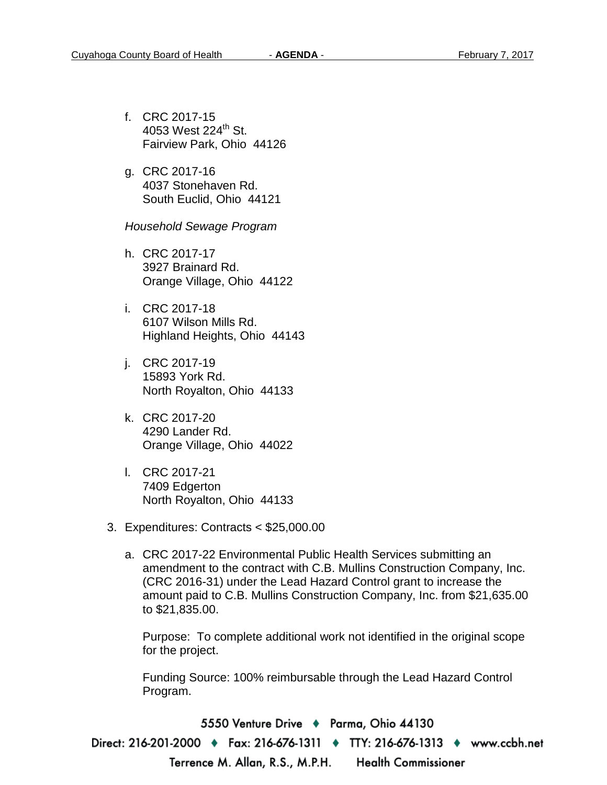- f. CRC 2017-15 4053 West  $224^{\text{th}}$  St. Fairview Park, Ohio 44126
- g. CRC 2017-16 4037 Stonehaven Rd. South Euclid, Ohio 44121

*Household Sewage Program* 

- h. CRC 2017-17 3927 Brainard Rd. Orange Village, Ohio 44122
- i. CRC 2017-18 6107 Wilson Mills Rd. Highland Heights, Ohio 44143
- j. CRC 2017-19 15893 York Rd. North Royalton, Ohio 44133
- k. CRC 2017-20 4290 Lander Rd. Orange Village, Ohio 44022
- l. CRC 2017-21 7409 Edgerton North Royalton, Ohio 44133
- 3. Expenditures: Contracts < \$25,000.00
	- a. CRC 2017-22 Environmental Public Health Services submitting an amendment to the contract with C.B. Mullins Construction Company, Inc. (CRC 2016-31) under the Lead Hazard Control grant to increase the amount paid to C.B. Mullins Construction Company, Inc. from \$21,635.00 to \$21,835.00.

Purpose: To complete additional work not identified in the original scope for the project.

Funding Source: 100% reimbursable through the Lead Hazard Control Program.

5550 Venture Drive ♦ Parma, Ohio 44130

Direct: 216-201-2000 ♦ Fax: 216-676-1311 ♦ TTY: 216-676-1313 ♦ www.ccbh.net Terrence M. Allan, R.S., M.P.H. Health Commissioner